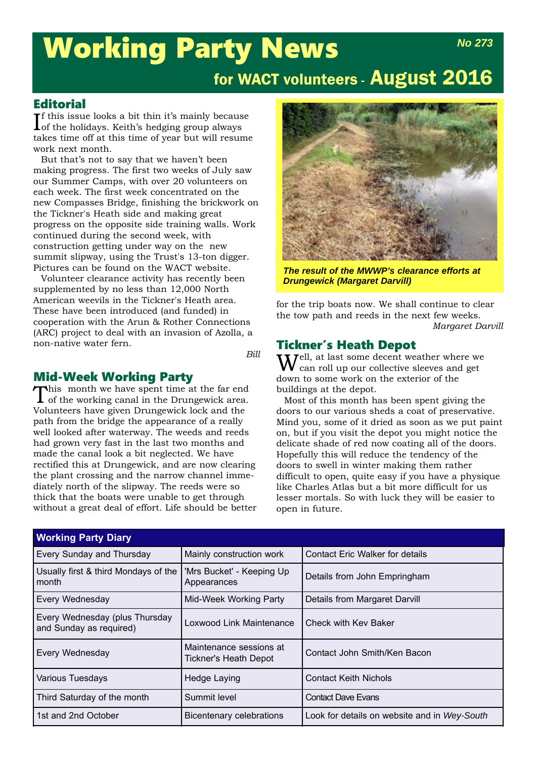# Working Party News

## for WACT volunteers - August 2016

#### **Editorial**

 $\prod$ f this issue looks a bit thin it's mainly because  $\prod$  of the holidays. Keith's hedging group always of the holidays. Keith's hedging group always takes time off at this time of year but will resume work next month.

But that's not to say that we haven't been making progress. The first two weeks of July saw our Summer Camps, with over 20 volunteers on each week. The first week concentrated on the new Compasses Bridge, finishing the brickwork on the Tickner's Heath side and making great progress on the opposite side training walls. Work continued during the second week, with construction getting under way on the new summit slipway, using the Trust's 13-ton digger. Pictures can be found on the WACT website.

Volunteer clearance activity has recently been supplemented by no less than 12,000 North American weevils in the Tickner's Heath area. These have been introduced (and funded) in cooperation with the Arun & Rother Connections (ARC) project to deal with an invasion of Azolla, a non-native water fern.

*Bill*

#### Mid-Week Working Party

This month we have spent time at the far end of the working canal in the Drungewick area. Volunteers have given Drungewick lock and the path from the bridge the appearance of a really well looked after waterway. The weeds and reeds had grown very fast in the last two months and made the canal look a bit neglected. We have rectified this at Drungewick, and are now clearing the plant crossing and the narrow channel immediately north of the slipway. The reeds were so thick that the boats were unable to get through without a great deal of effort. Life should be better



*The result of the MWWP's clearance efforts at Drungewick (Margaret Darvill)*

for the trip boats now. We shall continue to clear the tow path and reeds in the next few weeks. *Margaret Darvill*

#### Tickner's Heath Depot

 $\mathbf{W}^{\text{ell, at last some decent weather where we}$  can roll up our collective sleeves and get down to some work on the exterior of the buildings at the depot.

Most of this month has been spent giving the doors to our various sheds a coat of preservative. Mind you, some of it dried as soon as we put paint on, but if you visit the depot you might notice the delicate shade of red now coating all of the doors. Hopefully this will reduce the tendency of the doors to swell in winter making them rather difficult to open, quite easy if you have a physique like Charles Atlas but a bit more difficult for us lesser mortals. So with luck they will be easier to open in future.

| <b>Working Party Diary</b>                                |                                                                                         |                                              |  |  |
|-----------------------------------------------------------|-----------------------------------------------------------------------------------------|----------------------------------------------|--|--|
| <b>Every Sunday and Thursday</b>                          | Mainly construction work<br><b>Contact Eric Walker for details</b>                      |                                              |  |  |
| Usually first & third Mondays of the<br>l month           | 'Mrs Bucket' - Keeping Up<br>Appearances                                                | Details from John Empringham                 |  |  |
| <b>Every Wednesday</b>                                    | Mid-Week Working Party                                                                  | Details from Margaret Darvill                |  |  |
| Every Wednesday (plus Thursday<br>and Sunday as required) | Loxwood Link Maintenance                                                                | Check with Key Baker                         |  |  |
| Every Wednesday                                           | Maintenance sessions at<br>Contact John Smith/Ken Bacon<br><b>Tickner's Heath Depot</b> |                                              |  |  |
| <b>Various Tuesdays</b>                                   | Hedge Laying                                                                            | <b>Contact Keith Nichols</b>                 |  |  |
| Third Saturday of the month                               | Summit level                                                                            | <b>Contact Dave Evans</b>                    |  |  |
| 1st and 2nd October                                       | <b>Bicentenary celebrations</b>                                                         | Look for details on website and in Wey-South |  |  |